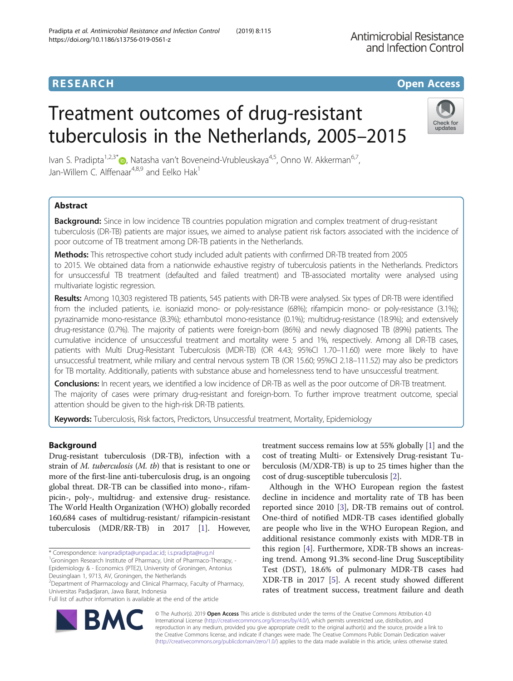# **RESEARCH CHILD CONTROL** CONTROL CONTROL CONTROL CONTROL CONTROL CONTROL CONTROL CONTROL CONTROL CONTROL CONTROL CONTROL CONTROL CONTROL CONTROL CONTROL CONTROL CONTROL CONTROL CONTROL CONTROL CONTROL CONTROL CONTROL CONTR

# Treatment outcomes of drug-resistant tuberculosis in the Netherlands, 2005–2015



Ivan S. Pradipta<sup>1[,](http://orcid.org/0000-0002-7151-0783)2,3\*</sup> <sub>(D</sub>, Natasha van't Boveneind-Vrubleuskaya<sup>4,5</sup>, Onno W. Akkerman<sup>6,7</sup>, Jan-Willem C. Alffenaar<sup>4,8,9</sup> and Eelko Hak<sup>1</sup>

# Abstract

Background: Since in low incidence TB countries population migration and complex treatment of drug-resistant tuberculosis (DR-TB) patients are major issues, we aimed to analyse patient risk factors associated with the incidence of poor outcome of TB treatment among DR-TB patients in the Netherlands.

Methods: This retrospective cohort study included adult patients with confirmed DR-TB treated from 2005 to 2015. We obtained data from a nationwide exhaustive registry of tuberculosis patients in the Netherlands. Predictors for unsuccessful TB treatment (defaulted and failed treatment) and TB-associated mortality were analysed using multivariate logistic regression.

Results: Among 10,303 registered TB patients, 545 patients with DR-TB were analysed. Six types of DR-TB were identified from the included patients, i.e. isoniazid mono- or poly-resistance (68%); rifampicin mono- or poly-resistance (3.1%); pyrazinamide mono-resistance (8.3%); ethambutol mono-resistance (0.1%); multidrug-resistance (18.9%); and extensively drug-resistance (0.7%). The majority of patients were foreign-born (86%) and newly diagnosed TB (89%) patients. The cumulative incidence of unsuccessful treatment and mortality were 5 and 1%, respectively. Among all DR-TB cases, patients with Multi Drug-Resistant Tuberculosis (MDR-TB) (OR 4.43; 95%CI 1.70–11.60) were more likely to have unsuccessful treatment, while miliary and central nervous system TB (OR 15.60; 95%CI 2.18–111.52) may also be predictors for TB mortality. Additionally, patients with substance abuse and homelessness tend to have unsuccessful treatment.

**Conclusions:** In recent years, we identified a low incidence of DR-TB as well as the poor outcome of DR-TB treatment. The majority of cases were primary drug-resistant and foreign-born. To further improve treatment outcome, special attention should be given to the high-risk DR-TB patients.

Keywords: Tuberculosis, Risk factors, Predictors, Unsuccessful treatment, Mortality, Epidemiology

# Background

Drug-resistant tuberculosis (DR-TB), infection with a strain of *M. tuberculosis* (*M. tb*) that is resistant to one or more of the first-line anti-tuberculosis drug, is an ongoing global threat. DR-TB can be classified into mono-, rifampicin-, poly-, multidrug- and extensive drug- resistance. The World Health Organization (WHO) globally recorded 160,684 cases of multidrug-resistant/ rifampicin-resistant tuberculosis (MDR/RR-TB) in 2017 [\[1](#page-10-0)]. However,

<sup>1</sup> Groningen Research Institute of Pharmacy, Unit of Pharmaco-Therapy, -Epidemiology & - Economics (PTE2), University of Groningen, Antonius

Deusinglaan 1, 9713, AV, Groningen, the Netherlands

<sup>2</sup> Department of Pharmacology and Clinical Pharmacy, Faculty of Pharmacy, Universitas Padjadjaran, Jawa Barat, Indonesia

Full list of author information is available at the end of the article

treatment success remains low at 55% globally [\[1](#page-10-0)] and the cost of treating Multi- or Extensively Drug-resistant Tuberculosis (M/XDR-TB) is up to 25 times higher than the cost of drug-susceptible tuberculosis [\[2\]](#page-11-0).

Although in the WHO European region the fastest decline in incidence and mortality rate of TB has been reported since 2010 [[3\]](#page-11-0), DR-TB remains out of control. One-third of notified MDR-TB cases identified globally are people who live in the WHO European Region, and additional resistance commonly exists with MDR-TB in this region [\[4](#page-11-0)]. Furthermore, XDR-TB shows an increasing trend. Among 91.3% second-line Drug Susceptibility Test (DST), 18.6% of pulmonary MDR-TB cases had XDR-TB in 2017 [[5\]](#page-11-0). A recent study showed different rates of treatment success, treatment failure and death



© The Author(s). 2019 **Open Access** This article is distributed under the terms of the Creative Commons Attribution 4.0 International License [\(http://creativecommons.org/licenses/by/4.0/](http://creativecommons.org/licenses/by/4.0/)), which permits unrestricted use, distribution, and reproduction in any medium, provided you give appropriate credit to the original author(s) and the source, provide a link to the Creative Commons license, and indicate if changes were made. The Creative Commons Public Domain Dedication waiver [\(http://creativecommons.org/publicdomain/zero/1.0/](http://creativecommons.org/publicdomain/zero/1.0/)) applies to the data made available in this article, unless otherwise stated.

<sup>\*</sup> Correspondence: [ivanpradipta@unpad.ac.id](mailto:ivanpradipta@unpad.ac.id); [i.s.pradipta@rug.nl](mailto:i.s.pradipta@rug.nl) <sup>1</sup>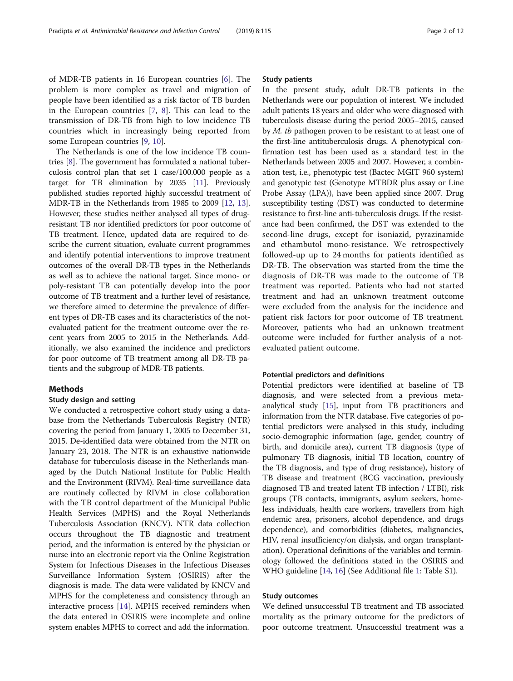of MDR-TB patients in 16 European countries [\[6](#page-11-0)]. The problem is more complex as travel and migration of people have been identified as a risk factor of TB burden in the European countries [[7,](#page-11-0) [8](#page-11-0)]. This can lead to the transmission of DR-TB from high to low incidence TB countries which in increasingly being reported from some European countries [\[9,](#page-11-0) [10\]](#page-11-0).

The Netherlands is one of the low incidence TB countries [[8](#page-11-0)]. The government has formulated a national tuberculosis control plan that set 1 case/100.000 people as a target for TB elimination by 2035 [\[11\]](#page-11-0). Previously published studies reported highly successful treatment of MDR-TB in the Netherlands from 1985 to 2009 [[12](#page-11-0), [13](#page-11-0)]. However, these studies neither analysed all types of drugresistant TB nor identified predictors for poor outcome of TB treatment. Hence, updated data are required to describe the current situation, evaluate current programmes and identify potential interventions to improve treatment outcomes of the overall DR-TB types in the Netherlands as well as to achieve the national target. Since mono- or poly-resistant TB can potentially develop into the poor outcome of TB treatment and a further level of resistance, we therefore aimed to determine the prevalence of different types of DR-TB cases and its characteristics of the notevaluated patient for the treatment outcome over the recent years from 2005 to 2015 in the Netherlands. Additionally, we also examined the incidence and predictors for poor outcome of TB treatment among all DR-TB patients and the subgroup of MDR-TB patients.

# **Methods**

# Study design and setting

We conducted a retrospective cohort study using a database from the Netherlands Tuberculosis Registry (NTR) covering the period from January 1, 2005 to December 31, 2015. De-identified data were obtained from the NTR on January 23, 2018. The NTR is an exhaustive nationwide database for tuberculosis disease in the Netherlands managed by the Dutch National Institute for Public Health and the Environment (RIVM). Real-time surveillance data are routinely collected by RIVM in close collaboration with the TB control department of the Municipal Public Health Services (MPHS) and the Royal Netherlands Tuberculosis Association (KNCV). NTR data collection occurs throughout the TB diagnostic and treatment period, and the information is entered by the physician or nurse into an electronic report via the Online Registration System for Infectious Diseases in the Infectious Diseases Surveillance Information System (OSIRIS) after the diagnosis is made. The data were validated by KNCV and MPHS for the completeness and consistency through an interactive process [[14](#page-11-0)]. MPHS received reminders when the data entered in OSIRIS were incomplete and online system enables MPHS to correct and add the information.

# Study patients

In the present study, adult DR-TB patients in the Netherlands were our population of interest. We included adult patients 18 years and older who were diagnosed with tuberculosis disease during the period 2005–2015, caused by *M. tb* pathogen proven to be resistant to at least one of the first-line antituberculosis drugs. A phenotypical confirmation test has been used as a standard test in the Netherlands between 2005 and 2007. However, a combination test, i.e., phenotypic test (Bactec MGIT 960 system) and genotypic test (Genotype MTBDR plus assay or Line Probe Assay (LPA)), have been applied since 2007. Drug susceptibility testing (DST) was conducted to determine resistance to first-line anti-tuberculosis drugs. If the resistance had been confirmed, the DST was extended to the second-line drugs, except for isoniazid, pyrazinamide and ethambutol mono-resistance. We retrospectively followed-up up to 24 months for patients identified as DR-TB. The observation was started from the time the diagnosis of DR-TB was made to the outcome of TB treatment was reported. Patients who had not started treatment and had an unknown treatment outcome were excluded from the analysis for the incidence and patient risk factors for poor outcome of TB treatment. Moreover, patients who had an unknown treatment outcome were included for further analysis of a notevaluated patient outcome.

# Potential predictors and definitions

Potential predictors were identified at baseline of TB diagnosis, and were selected from a previous metaanalytical study [[15](#page-11-0)], input from TB practitioners and information from the NTR database. Five categories of potential predictors were analysed in this study, including socio-demographic information (age, gender, country of birth, and domicile area), current TB diagnosis (type of pulmonary TB diagnosis, initial TB location, country of the TB diagnosis, and type of drug resistance), history of TB disease and treatment (BCG vaccination, previously diagnosed TB and treated latent TB infection / LTBI), risk groups (TB contacts, immigrants, asylum seekers, homeless individuals, health care workers, travellers from high endemic area, prisoners, alcohol dependence, and drugs dependence), and comorbidities (diabetes, malignancies, HIV, renal insufficiency/on dialysis, and organ transplantation). Operational definitions of the variables and terminology followed the definitions stated in the OSIRIS and WHO guideline [\[14,](#page-11-0) [16](#page-11-0)] (See Additional file [1:](#page-10-0) Table S1).

# Study outcomes

We defined unsuccessful TB treatment and TB associated mortality as the primary outcome for the predictors of poor outcome treatment. Unsuccessful treatment was a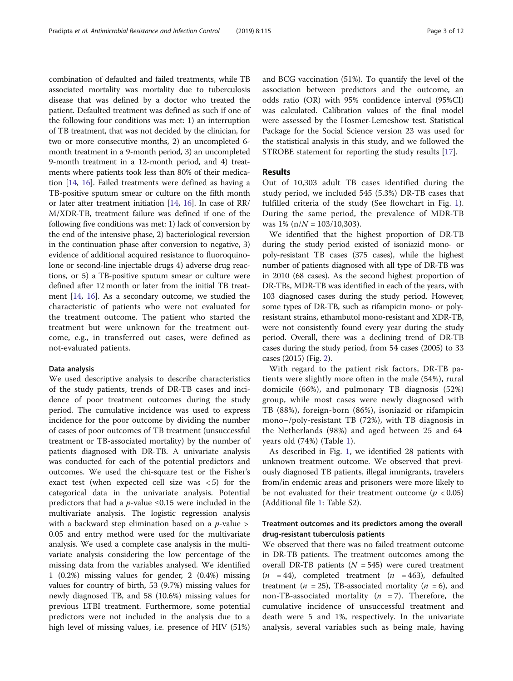combination of defaulted and failed treatments, while TB associated mortality was mortality due to tuberculosis disease that was defined by a doctor who treated the patient. Defaulted treatment was defined as such if one of the following four conditions was met: 1) an interruption of TB treatment, that was not decided by the clinician, for two or more consecutive months, 2) an uncompleted 6 month treatment in a 9-month period, 3) an uncompleted 9-month treatment in a 12-month period, and 4) treatments where patients took less than 80% of their medication [[14](#page-11-0), [16\]](#page-11-0). Failed treatments were defined as having a TB-positive sputum smear or culture on the fifth month or later after treatment initiation [\[14](#page-11-0), [16](#page-11-0)]. In case of RR/ M/XDR-TB, treatment failure was defined if one of the following five conditions was met: 1) lack of conversion by the end of the intensive phase, 2) bacteriological reversion in the continuation phase after conversion to negative, 3) evidence of additional acquired resistance to fluoroquinolone or second-line injectable drugs 4) adverse drug reactions, or 5) a TB-positive sputum smear or culture were defined after 12 month or later from the initial TB treatment [[14,](#page-11-0) [16](#page-11-0)]. As a secondary outcome, we studied the characteristic of patients who were not evaluated for the treatment outcome. The patient who started the treatment but were unknown for the treatment outcome, e.g., in transferred out cases, were defined as not-evaluated patients.

#### Data analysis

We used descriptive analysis to describe characteristics of the study patients, trends of DR-TB cases and incidence of poor treatment outcomes during the study period. The cumulative incidence was used to express incidence for the poor outcome by dividing the number of cases of poor outcomes of TB treatment (unsuccessful treatment or TB-associated mortality) by the number of patients diagnosed with DR-TB. A univariate analysis was conducted for each of the potential predictors and outcomes. We used the chi-square test or the Fisher's exact test (when expected cell size was  $<$  5) for the categorical data in the univariate analysis. Potential predictors that had a *p*-value  $\leq 0.15$  were included in the multivariate analysis. The logistic regression analysis with a backward step elimination based on a  $p$ -value > 0.05 and entry method were used for the multivariate analysis. We used a complete case analysis in the multivariate analysis considering the low percentage of the missing data from the variables analysed. We identified 1 (0.2%) missing values for gender, 2 (0.4%) missing values for country of birth, 53 (9.7%) missing values for newly diagnosed TB, and 58 (10.6%) missing values for previous LTBI treatment. Furthermore, some potential predictors were not included in the analysis due to a high level of missing values, i.e. presence of HIV (51%) and BCG vaccination (51%). To quantify the level of the association between predictors and the outcome, an odds ratio (OR) with 95% confidence interval (95%CI) was calculated. Calibration values of the final model were assessed by the Hosmer-Lemeshow test. Statistical Package for the Social Science version 23 was used for the statistical analysis in this study, and we followed the STROBE statement for reporting the study results [\[17](#page-11-0)].

# Results

Out of 10,303 adult TB cases identified during the study period, we included 545 (5.3%) DR-TB cases that fulfilled criteria of the study (See flowchart in Fig. [1](#page-3-0)). During the same period, the prevalence of MDR-TB was  $1\%$  (n/N = 103/10,303).

We identified that the highest proportion of DR-TB during the study period existed of isoniazid mono- or poly-resistant TB cases (375 cases), while the highest number of patients diagnosed with all type of DR-TB was in 2010 (68 cases). As the second highest proportion of DR-TBs, MDR-TB was identified in each of the years, with 103 diagnosed cases during the study period. However, some types of DR-TB, such as rifampicin mono- or polyresistant strains, ethambutol mono-resistant and XDR-TB, were not consistently found every year during the study period. Overall, there was a declining trend of DR-TB cases during the study period, from 54 cases (2005) to 33 cases (2015) (Fig. [2\)](#page-3-0).

With regard to the patient risk factors, DR-TB patients were slightly more often in the male (54%), rural domicile (66%), and pulmonary TB diagnosis (52%) group, while most cases were newly diagnosed with TB (88%), foreign-born (86%), isoniazid or rifampicin mono−/poly-resistant TB (72%), with TB diagnosis in the Netherlands (98%) and aged between 25 and 64 years old (74%) (Table [1](#page-4-0)).

As described in Fig. [1](#page-3-0), we identified 28 patients with unknown treatment outcome. We observed that previously diagnosed TB patients, illegal immigrants, travelers from/in endemic areas and prisoners were more likely to be not evaluated for their treatment outcome ( $p < 0.05$ ) (Additional file [1](#page-10-0): Table S2).

# Treatment outcomes and its predictors among the overall drug-resistant tuberculosis patients

We observed that there was no failed treatment outcome in DR-TB patients. The treatment outcomes among the overall DR-TB patients ( $N = 545$ ) were cured treatment  $(n = 44)$ , completed treatment  $(n = 463)$ , defaulted treatment ( $n = 25$ ), TB-associated mortality ( $n = 6$ ), and non-TB-associated mortality  $(n = 7)$ . Therefore, the cumulative incidence of unsuccessful treatment and death were 5 and 1%, respectively. In the univariate analysis, several variables such as being male, having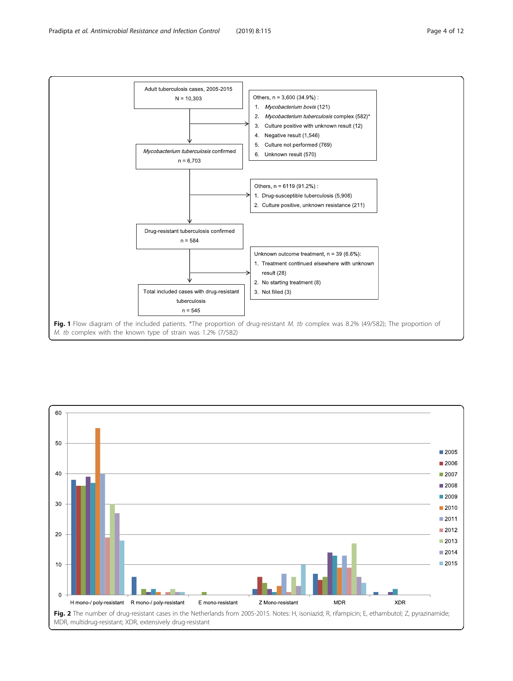<span id="page-3-0"></span>

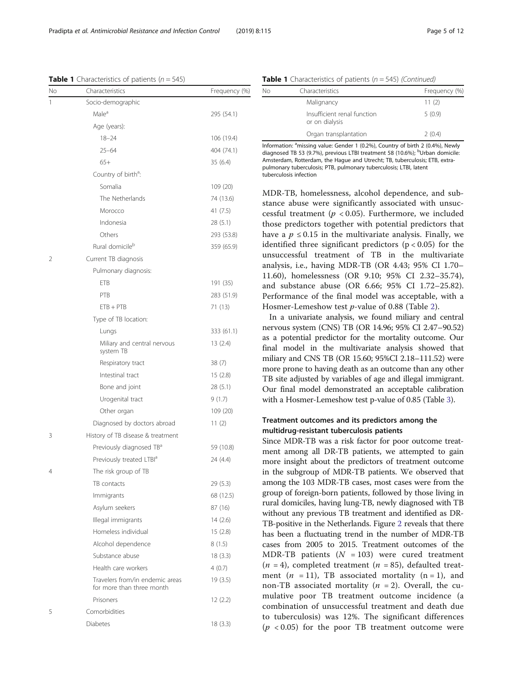<span id="page-4-0"></span>

**Table 1** Characteristics of patients ( $n = 545$ )

| No | Characteristics                                              | Frequency (%) |
|----|--------------------------------------------------------------|---------------|
| 1  | Socio-demographic                                            |               |
|    | Male <sup>a</sup>                                            | 295 (54.1)    |
|    | Age (years):                                                 |               |
|    | $18 - 24$                                                    | 106 (19.4)    |
|    | $25 - 64$                                                    | 404 (74.1)    |
|    | $65+$                                                        | 35(6.4)       |
|    | Country of birth <sup>a</sup> :                              |               |
|    | Somalia                                                      | 109(20)       |
|    | The Netherlands                                              | 74 (13.6)     |
|    | Morocco                                                      | 41 (7.5)      |
|    | Indonesia                                                    | 28 (5.1)      |
|    | Others                                                       | 293 (53.8)    |
|    | Rural domicile <sup>b</sup>                                  | 359 (65.9)    |
| 2  | Current TB diagnosis                                         |               |
|    | Pulmonary diagnosis:                                         |               |
|    | ETB                                                          | 191 (35)      |
|    | PTB                                                          | 283 (51.9)    |
|    | $FTB + PTB$                                                  | 71 (13)       |
|    | Type of TB location:                                         |               |
|    | Lungs                                                        | 333 (61.1)    |
|    | Miliary and central nervous<br>system TB                     | 13(2.4)       |
|    | Respiratory tract                                            | 38(7)         |
|    | Intestinal tract                                             | 15(2.8)       |
|    | Bone and joint                                               | 28 (5.1)      |
|    | Urogenital tract                                             | 9(1.7)        |
|    | Other organ                                                  | 109 (20)      |
|    | Diagnosed by doctors abroad                                  | 11(2)         |
| 3  | History of TB disease & treatment                            |               |
|    | Previously diagnosed TB <sup>a</sup>                         | 59 (10.8)     |
|    | Previously treated LTBI <sup>a</sup>                         | 24 (4.4)      |
| 4  | The risk group of TB                                         |               |
|    | TB contacts                                                  | 29 (5.3)      |
|    | Immigrants                                                   | 68 (12.5)     |
|    | Asylum seekers                                               | 87 (16)       |
|    | Illegal immigrants                                           | 14(2.6)       |
|    | Homeless individual                                          | 15(2.8)       |
|    | Alcohol dependence                                           | 8(1.5)        |
|    | Substance abuse                                              | 18(3.3)       |
|    | Health care workers                                          | 4(0.7)        |
|    | Travelers from/in endemic areas<br>for more than three month | 19 (3.5)      |
|    | Prisoners                                                    | 12(2.2)       |
| 5  | Comorbidities                                                |               |
|    | <b>Diabetes</b>                                              | 18(3.3)       |

**Table 1** Characteristics of patients ( $n = 545$ ) (Continued)

| No | Characteristics                               | Frequency (%) |
|----|-----------------------------------------------|---------------|
|    | Malignancy                                    | 11(2)         |
|    | Insufficient renal function<br>or on dialysis | 5(0.9)        |
|    | Organ transplantation                         | 2(0.4)        |

Information: <sup>a</sup>missing value: Gender 1 (0.2%), Country of birth 2 (0.4%), Newly diagnosed TB 53 (9.7%), previous LTBI treatment 58 (10.6%); <sup>b</sup>Urban domicile Amsterdam, Rotterdam, the Hague and Utrecht; TB, tuberculosis; ETB, extrapulmonary tuberculosis; PTB, pulmonary tuberculosis; LTBI, latent tuberculosis infection

MDR-TB, homelessness, alcohol dependence, and substance abuse were significantly associated with unsuccessful treatment ( $p < 0.05$ ). Furthermore, we included those predictors together with potential predictors that have a  $p \leq 0.15$  in the multivariate analysis. Finally, we identified three significant predictors ( $p < 0.05$ ) for the unsuccessful treatment of TB in the multivariate analysis, i.e., having MDR-TB (OR 4.43; 95% CI 1.70– 11.60), homelessness (OR 9.10; 95% CI 2.32–35.74), and substance abuse (OR 6.66; 95% CI 1.72–25.82). Performance of the final model was acceptable, with a Hosmer-Lemeshow test p-value of 0.88 (Table [2](#page-5-0)).

In a univariate analysis, we found miliary and central nervous system (CNS) TB (OR 14.96; 95% CI 2.47–90.52) as a potential predictor for the mortality outcome. Our final model in the multivariate analysis showed that miliary and CNS TB (OR 15.60; 95%CI 2.18–111.52) were more prone to having death as an outcome than any other TB site adjusted by variables of age and illegal immigrant. Our final model demonstrated an acceptable calibration with a Hosmer-Lemeshow test p-value of 0.85 (Table [3\)](#page-7-0).

# Treatment outcomes and its predictors among the multidrug-resistant tuberculosis patients

Since MDR-TB was a risk factor for poor outcome treatment among all DR-TB patients, we attempted to gain more insight about the predictors of treatment outcome in the subgroup of MDR-TB patients. We observed that among the 103 MDR-TB cases, most cases were from the group of foreign-born patients, followed by those living in rural domiciles, having lung-TB, newly diagnosed with TB without any previous TB treatment and identified as DR-TB-positive in the Netherlands. Figure [2](#page-3-0) reveals that there has been a fluctuating trend in the number of MDR-TB cases from 2005 to 2015. Treatment outcomes of the MDR-TB patients  $(N = 103)$  were cured treatment  $(n = 4)$ , completed treatment  $(n = 85)$ , defaulted treatment ( $n = 11$ ), TB associated mortality ( $n = 1$ ), and non-TB associated mortality ( $n = 2$ ). Overall, the cumulative poor TB treatment outcome incidence (a combination of unsuccessful treatment and death due to tuberculosis) was 12%. The significant differences  $(p \lt 0.05)$  for the poor TB treatment outcome were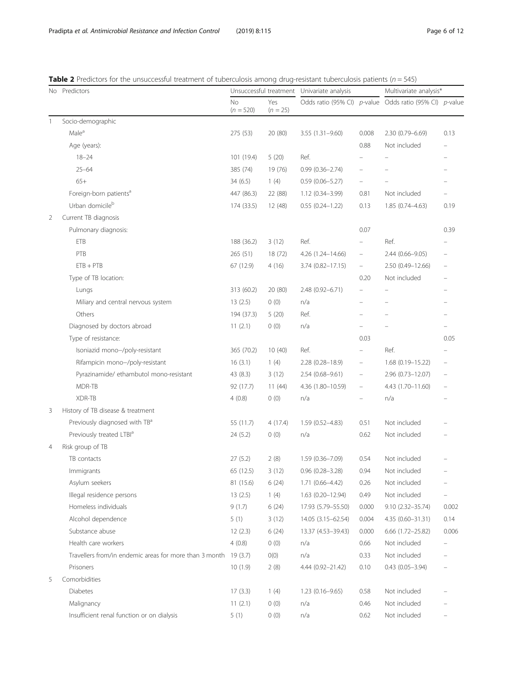# <span id="page-5-0"></span>**Table 2** Predictors for the unsuccessful treatment of tuberculosis among drug-resistant tuberculosis patients ( $n = 545$ )

|   | No Predictors                                                   |            |                   | Unsuccessful treatment Univariate analysis |                                   | Multivariate analysis*                                  |                          |
|---|-----------------------------------------------------------------|------------|-------------------|--------------------------------------------|-----------------------------------|---------------------------------------------------------|--------------------------|
|   |                                                                 |            | Yes<br>$(n = 25)$ |                                            |                                   | Odds ratio (95% CI) p-value Odds ratio (95% CI) p-value |                          |
| 1 | Socio-demographic                                               |            |                   |                                            |                                   |                                                         |                          |
|   | Male <sup>a</sup>                                               | 275 (53)   | 20 (80)           | $3.55(1.31 - 9.60)$                        | 0.008                             | 2.30 (0.79-6.69)                                        | 0.13                     |
|   | Age (years):                                                    |            |                   |                                            | 0.88                              | Not included                                            |                          |
|   | $18 - 24$                                                       | 101 (19.4) | 5(20)             | Ref.                                       |                                   |                                                         |                          |
|   | $25 - 64$                                                       | 385 (74)   | 19 (76)           | $0.99(0.36 - 2.74)$                        |                                   |                                                         |                          |
|   | $65+$                                                           | 34(6.5)    | 1(4)              | $0.59(0.06 - 5.27)$                        |                                   |                                                         |                          |
|   | Foreign-born patients <sup>a</sup>                              | 447 (86.3) | 22 (88)           | 1.12 (0.34-3.99)                           | 0.81                              | Not included                                            |                          |
|   | Urban domicile <sup>b</sup>                                     | 174 (33.5) | 12(48)            | $0.55(0.24 - 1.22)$                        | 0.13                              | $1.85(0.74 - 4.63)$                                     | 0.19                     |
| 2 | Current TB diagnosis                                            |            |                   |                                            |                                   |                                                         |                          |
|   | Pulmonary diagnosis:                                            |            |                   |                                            | 0.07                              |                                                         | 0.39                     |
|   | <b>ETB</b>                                                      | 188 (36.2) | 3(12)             | Ref.                                       |                                   | Ref.                                                    |                          |
|   | PTB                                                             | 265 (51)   | 18(72)            | 4.26 (1.24-14.66)                          | $\qquad \qquad -$                 | $2.44(0.66 - 9.05)$                                     |                          |
|   | $ETB + PTB$                                                     | 67 (12.9)  | 4 (16)            | 3.74 (0.82-17.15)                          | $\equiv$                          | 2.50 (0.49-12.66)                                       |                          |
|   | Type of TB location:                                            |            |                   |                                            | 0.20                              | Not included                                            |                          |
|   | Lungs                                                           | 313 (60.2) | 20(80)            | 2.48 (0.92-6.71)                           | $\overline{\phantom{0}}$          |                                                         |                          |
|   | Miliary and central nervous system                              | 13(2.5)    | 0(0)              | n/a                                        |                                   |                                                         |                          |
|   | Others                                                          | 194 (37.3) | 5(20)             | Ref.                                       |                                   |                                                         |                          |
|   | Diagnosed by doctors abroad                                     | 11(2.1)    | 0(0)              | n/a                                        |                                   |                                                         |                          |
|   | Type of resistance:                                             |            |                   |                                            | 0.03                              |                                                         | 0.05                     |
|   | Isoniazid mono-/poly-resistant                                  | 365 (70.2) | 10(40)            | Ref.                                       |                                   | Ref.                                                    |                          |
|   | Rifampicin mono-/poly-resistant                                 | 16(3.1)    | 1(4)              | $2.28(0.28 - 18.9)$                        | $\hspace{1.0cm} - \hspace{1.0cm}$ | 1.68 (0.19-15.22)                                       | $\overline{\phantom{0}}$ |
|   | Pyrazinamide/ ethambutol mono-resistant                         | 43 (8.3)   | 3(12)             | $2.54(0.68 - 9.61)$                        | $\equiv$                          | 2.96 (0.73-12.07)                                       |                          |
|   | MDR-TB                                                          | 92 (17.7)  | 11(44)            | 4.36 (1.80-10.59)                          | $\qquad \qquad -$                 | 4.43 (1.70-11.60)                                       |                          |
|   | XDR-TB                                                          | 4(0.8)     | 0(0)              | n/a                                        | $\overline{\phantom{0}}$          | n/a                                                     |                          |
| 3 | History of TB disease & treatment                               |            |                   |                                            |                                   |                                                         |                          |
|   | Previously diagnosed with TB <sup>a</sup>                       | 55 (11.7)  | 4(17.4)           | 1.59 (0.52-4.83)                           | 0.51                              | Not included                                            |                          |
|   | Previously treated LTBI <sup>a</sup>                            | 24 (5.2)   | 0(0)              | n/a                                        | 0.62                              | Not included                                            |                          |
| 4 | Risk group of TB                                                |            |                   |                                            |                                   |                                                         |                          |
|   | TB contacts                                                     | 27(5.2)    | 2(8)              | $1.59(0.36 - 7.09)$                        | 0.54                              | Not included                                            |                          |
|   | Immigrants                                                      | 65 (12.5)  | 3(12)             | $0.96(0.28 - 3.28)$                        | 0.94                              | Not included                                            |                          |
|   | Asylum seekers                                                  | 81 (15.6)  | 6(24)             | $1.71(0.66 - 4.42)$                        | 0.26                              | Not included                                            |                          |
|   | Illegal residence persons                                       | 13(2.5)    | 1(4)              | $1.63(0.20 - 12.94)$                       | 0.49                              | Not included                                            |                          |
|   | Homeless individuals                                            | 9(1.7)     | 6(24)             | 17.93 (5.79-55.50)                         | 0.000                             | $9.10(2.32 - 35.74)$                                    | 0.002                    |
|   | Alcohol dependence                                              | 5(1)       | 3(12)             | 14.05 (3.15-62.54)                         | 0.004                             | 4.35 (0.60-31.31)                                       | 0.14                     |
|   | Substance abuse                                                 | 12(2.3)    | 6(24)             | 13.37 (4.53-39.43)                         | 0.000                             | 6.66 (1.72-25.82)                                       | 0.006                    |
|   | Health care workers                                             | 4(0.8)     | 0(0)              | n/a                                        | 0.66                              | Not included                                            |                          |
|   | Travellers from/in endemic areas for more than 3 month 19 (3.7) |            | O(0)              | n/a                                        | 0.33                              | Not included                                            |                          |
|   | Prisoners                                                       | 10(1.9)    | 2(8)              | 4.44 (0.92-21.42)                          | 0.10                              | $0.43(0.05 - 3.94)$                                     |                          |
| 5 | Comorbidities                                                   |            |                   |                                            |                                   |                                                         |                          |
|   | Diabetes                                                        | 17(3.3)    | 1(4)              | $1.23(0.16 - 9.65)$                        | 0.58                              | Not included                                            |                          |
|   | Malignancy                                                      | 11(2.1)    | 0(0)              | n/a                                        | 0.46                              | Not included                                            |                          |
|   | Insufficient renal function or on dialysis                      | 5(1)       | 0(0)              | n/a                                        | 0.62                              | Not included                                            |                          |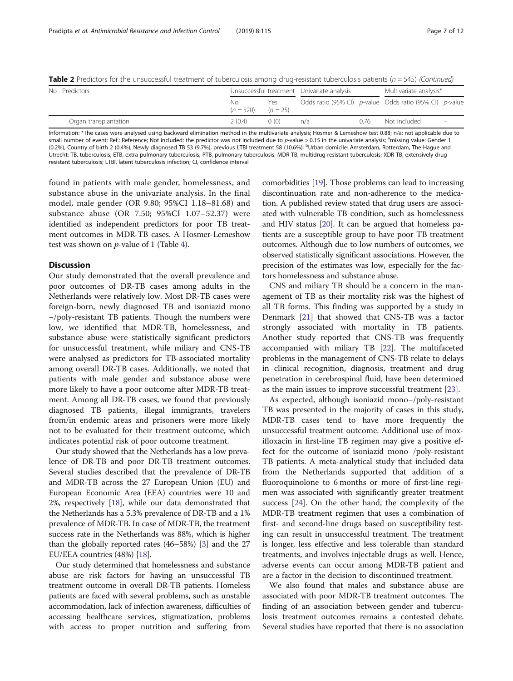| No Predictors         | Unsuccessful treatment Univariate analysis |     |     |      | Multivariate analysis*                                  |                          |
|-----------------------|--------------------------------------------|-----|-----|------|---------------------------------------------------------|--------------------------|
|                       | No.<br>$(n = 520)$ $(n = 25)$              | Yes |     |      | Odds ratio (95% CI) p-value Odds ratio (95% CI) p-value |                          |
| Organ transplantation | 2 (0.4)                                    | (0) | n/a | 0.76 | Not included                                            | $\overline{\phantom{m}}$ |

Table 2 Predictors for the unsuccessful treatment of tuberculosis among drug-resistant tuberculosis patients ( $n = 545$ ) (Continued)

Information: \*The cases were analysed using backward elimination method in the multivariate analysis; Hosmer & Lemeshow test 0.88; n/a: not applicable due to small number of event; Ref.: Reference; Not included: the predictor was not included due to p-value > 0.15 in the univariate analysis; <sup>a</sup>missing value: Gender 1 (0.2%), Country of birth 2 (0.4%), Newly diagnosed TB 53 (9.7%), previous LTBI treatment 58 (10.6%); <sup>b</sup> Urban domicile: Amsterdam, Rotterdam, The Hague and Utrecht; TB, tuberculosis; ETB, extra-pulmonary tuberculosis; PTB, pulmonary tuberculosis; MDR-TB, multidrug-resistant tuberculosis; XDR-TB, extensively drugresistant tuberculosis; LTBI, latent tuberculosis infection; CI, confidence interval

found in patients with male gender, homelessness, and substance abuse in the univariate analysis. In the final model, male gender (OR 9.80; 95%CI 1.18–81.68) and substance abuse (OR 7.50; 95%CI 1.07–52.37) were identified as independent predictors for poor TB treatment outcomes in MDR-TB cases. A Hosmer-Lemeshow test was shown on  $p$ -value of 1 (Table [4\)](#page-9-0).

# **Discussion**

Our study demonstrated that the overall prevalence and poor outcomes of DR-TB cases among adults in the Netherlands were relatively low. Most DR-TB cases were foreign-born, newly diagnosed TB and isoniazid mono −/poly-resistant TB patients. Though the numbers were low, we identified that MDR-TB, homelessness, and substance abuse were statistically significant predictors for unsuccessful treatment, while miliary and CNS-TB were analysed as predictors for TB-associated mortality among overall DR-TB cases. Additionally, we noted that patients with male gender and substance abuse were more likely to have a poor outcome after MDR-TB treatment. Among all DR-TB cases, we found that previously diagnosed TB patients, illegal immigrants, travelers from/in endemic areas and prisoners were more likely not to be evaluated for their treatment outcome, which indicates potential risk of poor outcome treatment.

Our study showed that the Netherlands has a low prevalence of DR-TB and poor DR-TB treatment outcomes. Several studies described that the prevalence of DR-TB and MDR-TB across the 27 European Union (EU) and European Economic Area (EEA) countries were 10 and 2%, respectively [\[18](#page-11-0)], while our data demonstrated that the Netherlands has a 5.3% prevalence of DR-TB and a 1% prevalence of MDR-TB. In case of MDR-TB, the treatment success rate in the Netherlands was 88%, which is higher than the globally reported rates (46–58%) [\[3](#page-11-0)] and the 27 EU/EEA countries (48%) [\[18\]](#page-11-0).

Our study determined that homelessness and substance abuse are risk factors for having an unsuccessful TB treatment outcome in overall DR-TB patients. Homeless patients are faced with several problems, such as unstable accommodation, lack of infection awareness, difficulties of accessing healthcare services, stigmatization, problems with access to proper nutrition and suffering from

comorbidities [\[19](#page-11-0)]. Those problems can lead to increasing discontinuation rate and non-adherence to the medication. A published review stated that drug users are associated with vulnerable TB condition, such as homelessness and HIV status [\[20\]](#page-11-0). It can be argued that homeless patients are a susceptible group to have poor TB treatment outcomes. Although due to low numbers of outcomes, we observed statistically significant associations. However, the precision of the estimates was low, especially for the factors homelessness and substance abuse.

CNS and miliary TB should be a concern in the management of TB as their mortality risk was the highest of all TB forms. This finding was supported by a study in Denmark [[21\]](#page-11-0) that showed that CNS-TB was a factor strongly associated with mortality in TB patients. Another study reported that CNS-TB was frequently accompanied with miliary TB [\[22](#page-11-0)]. The multifaceted problems in the management of CNS-TB relate to delays in clinical recognition, diagnosis, treatment and drug penetration in cerebrospinal fluid, have been determined as the main issues to improve successful treatment [\[23](#page-11-0)].

As expected, although isoniazid mono−/poly-resistant TB was presented in the majority of cases in this study, MDR-TB cases tend to have more frequently the unsuccessful treatment outcome. Additional use of moxifloxacin in first-line TB regimen may give a positive effect for the outcome of isoniazid mono−/poly-resistant TB patients. A meta-analytical study that included data from the Netherlands supported that addition of a fluoroquinolone to 6 months or more of first-line regimen was associated with significantly greater treatment success [[24\]](#page-11-0). On the other hand, the complexity of the MDR-TB treatment regimen that uses a combination of first- and second-line drugs based on susceptibility testing can result in unsuccessful treatment. The treatment is longer, less effective and less tolerable than standard treatments, and involves injectable drugs as well. Hence, adverse events can occur among MDR-TB patient and are a factor in the decision to discontinued treatment.

We also found that males and substance abuse are associated with poor MDR-TB treatment outcomes. The finding of an association between gender and tuberculosis treatment outcomes remains a contested debate. Several studies have reported that there is no association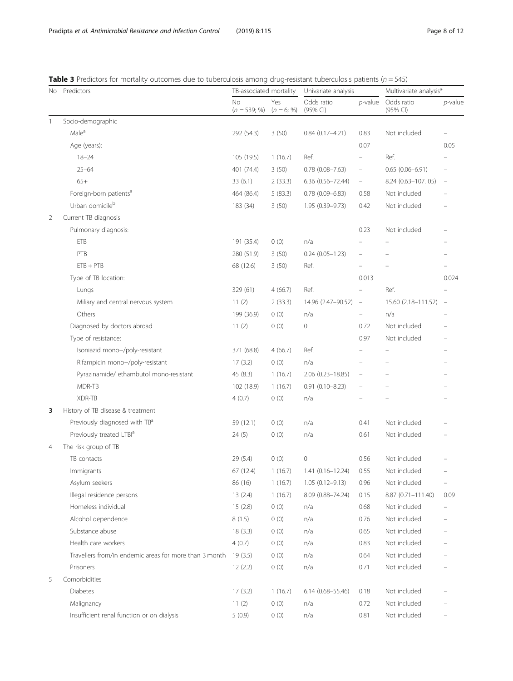# <span id="page-7-0"></span>**Table 3** Predictors for mortality outcomes due to tuberculosis among drug-resistant tuberculosis patients ( $n = 545$ )

| No. | Predictors                                                      | TB-associated mortality |                     | Univariate analysis    |                          | Multivariate analysis* |                                 |
|-----|-----------------------------------------------------------------|-------------------------|---------------------|------------------------|--------------------------|------------------------|---------------------------------|
|     |                                                                 | No<br>$(n = 539; %)$    | Yes<br>$(n = 6; %)$ | Odds ratio<br>(95% CI) | $p$ -value               | Odds ratio<br>(95% CI) | $p$ -value                      |
| 1   | Socio-demographic                                               |                         |                     |                        |                          |                        |                                 |
|     | Male <sup>a</sup>                                               | 292 (54.3)              | 3(50)               | $0.84(0.17 - 4.21)$    | 0.83                     | Not included           |                                 |
|     | Age (years):                                                    |                         |                     |                        | 0.07                     |                        | 0.05                            |
|     | $18 - 24$                                                       | 105 (19.5)              | 1(16.7)             | Ref.                   |                          | Ref.                   |                                 |
|     | $25 - 64$                                                       | 401 (74.4)              | 3(50)               | $0.78(0.08 - 7.63)$    | $\qquad \qquad -$        | $0.65(0.06 - 6.91)$    |                                 |
|     | $65+$                                                           | 33(6.1)                 | 2(33.3)             | 6.36 (0.56-72.44)      | $\qquad \qquad -$        | 8.24 (0.63-107.05)     | $\frac{1}{2}$                   |
|     | Foreign-born patients <sup>a</sup>                              | 464 (86.4)              | 5(83.3)             | $0.78(0.09 - 6.83)$    | 0.58                     | Not included           |                                 |
|     | Urban domicile <sup>b</sup>                                     | 183 (34)                | 3(50)               | 1.95 (0.39-9.73)       | 0.42                     | Not included           |                                 |
| 2   | Current TB diagnosis                                            |                         |                     |                        |                          |                        |                                 |
|     | Pulmonary diagnosis:                                            |                         |                     |                        | 0.23                     | Not included           |                                 |
|     | <b>ETB</b>                                                      | 191 (35.4)              | 0(0)                | n/a                    |                          |                        |                                 |
|     | PTB                                                             | 280 (51.9)              | 3(50)               | $0.24(0.05 - 1.23)$    | ÷,                       |                        |                                 |
|     | $ETB + PTB$                                                     | 68 (12.6)               | 3(50)               | Ref.                   |                          |                        |                                 |
|     | Type of TB location:                                            |                         |                     |                        | 0.013                    |                        | 0.024                           |
|     | Lungs                                                           | 329 (61)                | 4(66.7)             | Ref.                   | $\overline{\phantom{0}}$ | Ref.                   |                                 |
|     | Miliary and central nervous system                              | 11(2)                   | 2(33.3)             | 14.96 (2.47-90.52)     | $\overline{\phantom{a}}$ | 15.60 (2.18-111.52)    | $\hspace{0.1mm}-\hspace{0.1mm}$ |
|     | Others                                                          | 199 (36.9)              | 0(0)                | n/a                    | $\overline{\phantom{0}}$ | n/a                    |                                 |
|     | Diagnosed by doctors abroad                                     | 11(2)                   | 0(0)                | $\mathbf 0$            | 0.72                     | Not included           |                                 |
|     | Type of resistance:                                             |                         |                     |                        | 0.97                     | Not included           |                                 |
|     | Isoniazid mono-/poly-resistant                                  | 371 (68.8)              | 4(66.7)             | Ref.                   |                          |                        |                                 |
|     | Rifampicin mono-/poly-resistant                                 | 17(3.2)                 | 0(0)                | n/a                    |                          |                        |                                 |
|     | Pyrazinamide/ ethambutol mono-resistant                         | 45 (8.3)                | 1(16.7)             | 2.06 (0.23-18.85)      | $\overline{\phantom{0}}$ |                        |                                 |
|     | MDR-TB                                                          | 102 (18.9)              | 1(16.7)             | $0.91(0.10 - 8.23)$    |                          |                        |                                 |
|     | XDR-TB                                                          | 4(0.7)                  | 0(0)                | n/a                    |                          |                        |                                 |
| 3   | History of TB disease & treatment                               |                         |                     |                        |                          |                        |                                 |
|     | Previously diagnosed with TB <sup>a</sup>                       | 59 (12.1)               | 0(0)                | n/a                    | 0.41                     | Not included           |                                 |
|     | Previously treated LTBI <sup>a</sup>                            | 24(5)                   | 0(0)                | n/a                    | 0.61                     | Not included           |                                 |
| 4   | The risk group of TB                                            |                         |                     |                        |                          |                        |                                 |
|     | TB contacts                                                     | 29 (5.4)                | 0(0)                | $\mathbf 0$            | 0.56                     | Not included           |                                 |
|     | Immigrants                                                      | 67 (12.4)               | 1(16.7)             | 1.41 (0.16-12.24)      | 0.55                     | Not included           |                                 |
|     | Asylum seekers                                                  | 86 (16)                 | 1(16.7)             | $1.05(0.12 - 9.13)$    | 0.96                     | Not included           |                                 |
|     | Illegal residence persons                                       | 13(2.4)                 | 1(16.7)             | 8.09 (0.88-74.24)      | 0.15                     | 8.87 (0.71-111.40)     | 0.09                            |
|     | Homeless individual                                             | 15(2.8)                 | 0(0)                | n/a                    | 0.68                     | Not included           |                                 |
|     | Alcohol dependence                                              | 8(1.5)                  | 0(0)                | n/a                    | 0.76                     | Not included           |                                 |
|     | Substance abuse                                                 | 18(3.3)                 | 0(0)                | n/a                    | 0.65                     | Not included           |                                 |
|     | Health care workers                                             | 4(0.7)                  | 0(0)                | n/a                    | 0.83                     | Not included           |                                 |
|     | Travellers from/in endemic areas for more than 3 month 19 (3.5) |                         | 0(0)                | n/a                    | 0.64                     | Not included           |                                 |
|     | Prisoners                                                       | 12(2.2)                 | 0(0)                | n/a                    | 0.71                     | Not included           |                                 |
| 5   | Comorbidities                                                   |                         |                     |                        |                          |                        |                                 |
|     | Diabetes                                                        | 17(3.2)                 | 1(16.7)             | $6.14(0.68 - 55.46)$   | 0.18                     | Not included           |                                 |
|     | Malignancy                                                      | 11(2)                   | 0(0)                | n/a                    | 0.72                     | Not included           |                                 |
|     | Insufficient renal function or on dialysis                      | 5(0.9)                  | 0(0)                | n/a                    | 0.81                     | Not included           |                                 |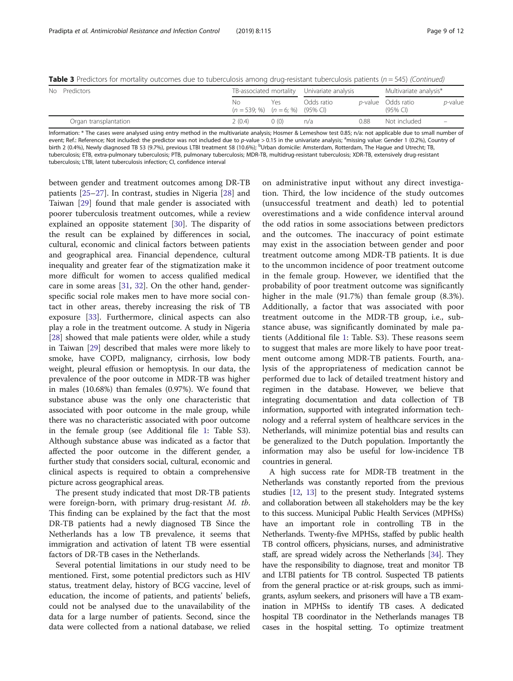|  |  | Table 3 Predictors for mortality outcomes due to tuberculosis among drug-resistant tuberculosis patients ( $n = 545$ ) (Continued) |  |  |  |  |  |  |
|--|--|------------------------------------------------------------------------------------------------------------------------------------|--|--|--|--|--|--|
|--|--|------------------------------------------------------------------------------------------------------------------------------------|--|--|--|--|--|--|

| No l | Predictors            | TB-associated mortality Univariate analysis           |     |            |      | Multivariate analysis*                   |                 |
|------|-----------------------|-------------------------------------------------------|-----|------------|------|------------------------------------------|-----------------|
|      |                       | No.<br>$(n = 539; %)$ $(n = 6; %)$ $(95% \text{ Cl})$ | Yes | Odds ratio |      | <i>p</i> -value Odds ratio<br>$(95%$ CI) | <i>p</i> -value |
|      | Organ transplantation | 2(0.4)                                                | (0) | n/a        | 0.88 | Not included                             | -               |

Information: \* The cases were analysed using entry method in the multivariate analysis; Hosmer & Lemeshow test 0.85; n/a: not applicable due to small number of event; Ref.: Reference; Not included: the predictor was not included due to p-value > 0.15 in the univariate analysis; <sup>a</sup>missing value: Gender 1 (0.2%), Country of birth 2 (0.4%), Newly diagnosed TB 53 (9.7%), previous LTBI treatment 58 (10.6%); <sup>b</sup>Urban domicile: Amsterdam, Rotterdam, The Hague and Utrecht; TB, tuberculosis; ETB, extra-pulmonary tuberculosis; PTB, pulmonary tuberculosis; MDR-TB, multidrug-resistant tuberculosis; XDR-TB, extensively drug-resistant tuberculosis; LTBI, latent tuberculosis infection; CI, confidence interval

between gender and treatment outcomes among DR-TB patients [\[25](#page-11-0)–[27\]](#page-11-0). In contrast, studies in Nigeria [\[28](#page-11-0)] and Taiwan [[29](#page-11-0)] found that male gender is associated with poorer tuberculosis treatment outcomes, while a review explained an opposite statement [\[30\]](#page-11-0). The disparity of the result can be explained by differences in social, cultural, economic and clinical factors between patients and geographical area. Financial dependence, cultural inequality and greater fear of the stigmatization make it more difficult for women to access qualified medical care in some areas [[31,](#page-11-0) [32](#page-11-0)]. On the other hand, genderspecific social role makes men to have more social contact in other areas, thereby increasing the risk of TB exposure [[33](#page-11-0)]. Furthermore, clinical aspects can also play a role in the treatment outcome. A study in Nigeria [[28\]](#page-11-0) showed that male patients were older, while a study in Taiwan [\[29](#page-11-0)] described that males were more likely to smoke, have COPD, malignancy, cirrhosis, low body weight, pleural effusion or hemoptysis. In our data, the prevalence of the poor outcome in MDR-TB was higher in males (10.68%) than females (0.97%). We found that substance abuse was the only one characteristic that associated with poor outcome in the male group, while there was no characteristic associated with poor outcome in the female group (see Additional file [1:](#page-10-0) Table S3). Although substance abuse was indicated as a factor that affected the poor outcome in the different gender, a further study that considers social, cultural, economic and clinical aspects is required to obtain a comprehensive picture across geographical areas.

The present study indicated that most DR-TB patients were foreign-born, with primary drug-resistant M. tb. This finding can be explained by the fact that the most DR-TB patients had a newly diagnosed TB Since the Netherlands has a low TB prevalence, it seems that immigration and activation of latent TB were essential factors of DR-TB cases in the Netherlands.

Several potential limitations in our study need to be mentioned. First, some potential predictors such as HIV status, treatment delay, history of BCG vaccine, level of education, the income of patients, and patients' beliefs, could not be analysed due to the unavailability of the data for a large number of patients. Second, since the data were collected from a national database, we relied

on administrative input without any direct investigation. Third, the low incidence of the study outcomes (unsuccessful treatment and death) led to potential overestimations and a wide confidence interval around the odd ratios in some associations between predictors and the outcomes. The inaccuracy of point estimate may exist in the association between gender and poor treatment outcome among MDR-TB patients. It is due to the uncommon incidence of poor treatment outcome in the female group. However, we identified that the probability of poor treatment outcome was significantly higher in the male (91.7%) than female group (8.3%). Additionally, a factor that was associated with poor treatment outcome in the MDR-TB group, i.e., substance abuse, was significantly dominated by male patients (Additional file [1:](#page-10-0) Table. S3). These reasons seem to suggest that males are more likely to have poor treatment outcome among MDR-TB patients. Fourth, analysis of the appropriateness of medication cannot be performed due to lack of detailed treatment history and regimen in the database. However, we believe that integrating documentation and data collection of TB information, supported with integrated information technology and a referral system of healthcare services in the Netherlands, will minimize potential bias and results can be generalized to the Dutch population. Importantly the information may also be useful for low-incidence TB countries in general.

A high success rate for MDR-TB treatment in the Netherlands was constantly reported from the previous studies [\[12,](#page-11-0) [13\]](#page-11-0) to the present study. Integrated systems and collaboration between all stakeholders may be the key to this success. Municipal Public Health Services (MPHSs) have an important role in controlling TB in the Netherlands. Twenty-five MPHSs, staffed by public health TB control officers, physicians, nurses, and administrative staff, are spread widely across the Netherlands [\[34\]](#page-11-0). They have the responsibility to diagnose, treat and monitor TB and LTBI patients for TB control. Suspected TB patients from the general practice or at-risk groups, such as immigrants, asylum seekers, and prisoners will have a TB examination in MPHSs to identify TB cases. A dedicated hospital TB coordinator in the Netherlands manages TB cases in the hospital setting. To optimize treatment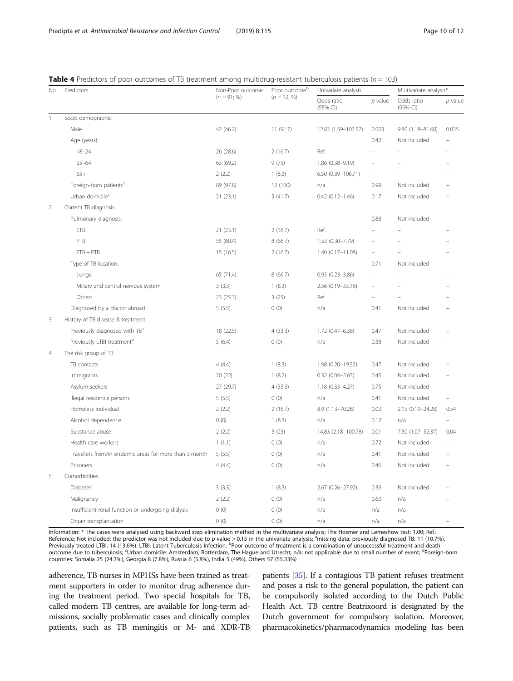| No             | Predictors                                             | Non-Poor outcome | Poor outcome <sup>b</sup> | Univariate analysis    |            | Multivariate analysis* |            |
|----------------|--------------------------------------------------------|------------------|---------------------------|------------------------|------------|------------------------|------------|
|                |                                                        | $(n = 91; %)$    | $(n = 12; %)$             | Odds ratio<br>(95% CI) | $p$ -value | Odds ratio<br>(95% CI) | $p$ -value |
| $\mathbf{1}$   | Socio-demographic                                      |                  |                           |                        |            |                        |            |
|                | Male                                                   | 42 (46.2)        | 11(91.7)                  | 12.83 (1.59-103.57)    | 0.003      | 9.80 (1.18-81.68)      | 0.035      |
|                | Age (years):                                           |                  |                           |                        | 0.42       | Not included           |            |
|                | $18 - 24$                                              | 26 (28.6)        | 2(16.7)                   | Ref.                   |            |                        |            |
|                | $25 - 64$                                              | 63 (69.2)        | 9(75)                     | 1.86 (0.38-9.19)       |            |                        |            |
|                | $65+$                                                  | 2(2.2)           | 1(8.3)                    | 6.50 (0.39-106.71)     |            |                        |            |
|                | Foreign-born patients <sup>d</sup>                     | 89 (97.8)        | 12 (100)                  | n/a                    | 0.99       | Not included           |            |
|                | Urban domicile <sup>c</sup>                            | 21(23.1)         | 5(41.7)                   | $0.42$ $(0.12 - 1.46)$ | 0.17       | Not included           |            |
| $\sqrt{2}$     | Current TB diagnosis                                   |                  |                           |                        |            |                        |            |
|                | Pulmonary diagnosis:                                   |                  |                           |                        | 0.88       | Not included           |            |
|                | ETB                                                    | 21(23.1)         | 2(16.7)                   | Ref.                   |            |                        |            |
|                | PTB                                                    | 55 (60.4)        | 8(66.7)                   | 1.53 (0.30-7.79)       |            |                        |            |
|                | $ETB + PTB$                                            | 15 (16.5)        | 2(16.7)                   | 1.40 (0.17-11.08)      |            |                        |            |
|                | Type of TB location:                                   |                  |                           |                        | 0.71       | Not included           |            |
|                | Lungs                                                  | 65 (71.4)        | 8(66.7)                   | $0.95(0.23 - 3.86)$    |            |                        |            |
|                | Miliary and central nervous system                     | 3(3.3)           | 1(8.3)                    | 2.56 (0.19-33.16)      |            |                        |            |
|                | Others                                                 | 23 (25.3)        | 3(25)                     | Ref.                   |            |                        |            |
|                | Diagnosed by a doctor abroad                           | 5(5.5)           | 0(0)                      | n/a                    | 0.41       | Not included           |            |
| 3              | History of TB disease & treatment                      |                  |                           |                        |            |                        |            |
|                | Previously diagnosed with TB <sup>a</sup>              | 18 (22.5)        | 4(33.3)                   | 1.72 (0.47-6.38)       | 0.47       | Not included           |            |
|                | Previously LTBI treatment <sup>a</sup>                 | 5(6.4)           | 0(0)                      | n/a                    | 0.38       | Not included           |            |
| $\overline{4}$ | The risk group of TB                                   |                  |                           |                        |            |                        |            |
|                | TB contacts                                            | 4(4.4)           | 1(8.3)                    | 1.98 (0.20-19.32)      | 0.47       | Not included           |            |
|                | Immigrants                                             | 20(22)           | 1(8.2)                    | $0.32$ (0.04-2.65)     | 0.45       | Not included           |            |
|                | Asylum seekers                                         | 27 (29.7)        | 4(33.3)                   | 1.18 (0.33-4.27)       | 0.75       | Not included           |            |
|                | Illegal residence persons                              | 5(5.5)           | 0(0)                      | n/a                    | 0.41       | Not included           |            |
|                | Homeless individual                                    | 2(2.2)           | 2(16.7)                   | 8.9 (1.13-70.26)       | 0.02       | 2.15 (0.19-24.28)      | 0.54       |
|                | Alcohol dependence                                     | 0(0)             | 1(8.3)                    | n/a                    | 0.12       | n/a                    |            |
|                | Substance abuse                                        | 2(2.2)           | 3(25)                     | 14.83 (2.18-100.78)    | 0.01       | 7.50 (1.07-52.37)      | 0.04       |
|                | Health care workers                                    | 1(1.1)           | 0(0)                      | n/a                    | 0.72       | Not included           |            |
|                | Travellers from/in endemic areas for more than 3 month | 5(5.5)           | 0(0)                      | n/a                    | 0.41       | Not included           |            |
|                | Prisoners                                              | 4(4.4)           | 0(0)                      | n/a                    | 0.46       | Not included           |            |
| 5              | Comorbidities                                          |                  |                           |                        |            |                        |            |
|                | Diabetes                                               | 3(3.3)           | 1(8.3)                    | 2.67 (0.26-27.92)      | 0.39       | Not included           |            |
|                | Malignancy                                             | 2(2.2)           | 0(0)                      | n/a                    | 0.60       | n/a                    |            |
|                | Insufficient renal function or undergoing dialysis     | 0(0)             | 0(0)                      | n/a                    | n/a        | n/a                    |            |
|                | Organ transplantation                                  | 0(0)             | 0(0)                      | n/a                    | n/a        | n/a                    |            |

<span id="page-9-0"></span>

|  | <b>Table 4</b> Predictors of poor outcomes of TB treatment among multidrug-resistant tuberculosis patients ( $n = 103$ ) |  |  |
|--|--------------------------------------------------------------------------------------------------------------------------|--|--|
|  |                                                                                                                          |  |  |

Information: \* The cases were analysed using backward step elimination method in the multivariate analysis; The Hosmer and Lemeshow test: 1.00; Ref.: Reference; Not included: the predictor was not included due to p-value > 0.15 in the univariate analysis; <sup>a</sup>missing data: previously diagnosed TB: 11 (10.7%), Previously treated LTBI: 14 (13.6%). LTBI: Latent Tuberculosis Infection. <sup>b</sup>Poor outcome of treatment is a combination of unsuccessful treatment and death outcome due to tuberculosis; <sup>c</sup>Urban domicile: Amsterdam, Rotterdam, The Hague and Utrecht; n/a: not applicable due to small number of event; <sup>d</sup>Foreign-born countries: Somalia 25 (24.3%), Georgia 8 (7.8%), Russia 6 (5.8%), India 5 (49%), Others 57 (55.33%)

adherence, TB nurses in MPHSs have been trained as treatment supporters in order to monitor drug adherence during the treatment period. Two special hospitals for TB, called modern TB centres, are available for long-term admissions, socially problematic cases and clinically complex patients, such as TB meningitis or M- and XDR-TB

patients [\[35\]](#page-11-0). If a contagious TB patient refuses treatment and poses a risk to the general population, the patient can be compulsorily isolated according to the Dutch Public Health Act. TB centre Beatrixoord is designated by the Dutch government for compulsory isolation. Moreover, pharmacokinetics/pharmacodynamics modeling has been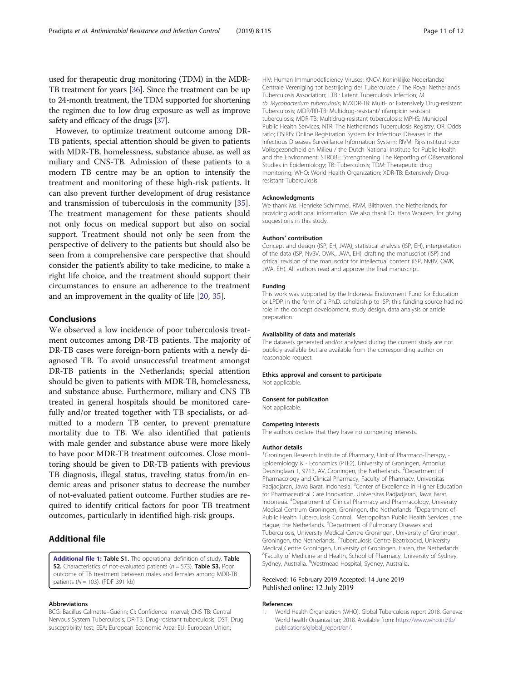<span id="page-10-0"></span>used for therapeutic drug monitoring (TDM) in the MDR-TB treatment for years [\[36\]](#page-11-0). Since the treatment can be up to 24-month treatment, the TDM supported for shortening the regimen due to low drug exposure as well as improve safety and efficacy of the drugs [\[37\]](#page-11-0).

However, to optimize treatment outcome among DR-TB patients, special attention should be given to patients with MDR-TB, homelessness, substance abuse, as well as miliary and CNS-TB. Admission of these patients to a modern TB centre may be an option to intensify the treatment and monitoring of these high-risk patients. It can also prevent further development of drug resistance and transmission of tuberculosis in the community [\[35](#page-11-0)]. The treatment management for these patients should not only focus on medical support but also on social support. Treatment should not only be seen from the perspective of delivery to the patients but should also be seen from a comprehensive care perspective that should consider the patient's ability to take medicine, to make a right life choice, and the treatment should support their circumstances to ensure an adherence to the treatment and an improvement in the quality of life [[20,](#page-11-0) [35\]](#page-11-0).

# Conclusions

We observed a low incidence of poor tuberculosis treatment outcomes among DR-TB patients. The majority of DR-TB cases were foreign-born patients with a newly diagnosed TB. To avoid unsuccessful treatment amongst DR-TB patients in the Netherlands; special attention should be given to patients with MDR-TB, homelessness, and substance abuse. Furthermore, miliary and CNS TB treated in general hospitals should be monitored carefully and/or treated together with TB specialists, or admitted to a modern TB center, to prevent premature mortality due to TB. We also identified that patients with male gender and substance abuse were more likely to have poor MDR-TB treatment outcomes. Close monitoring should be given to DR-TB patients with previous TB diagnosis, illegal status, traveling status from/in endemic areas and prisoner status to decrease the number of not-evaluated patient outcome. Further studies are required to identify critical factors for poor TB treatment outcomes, particularly in identified high-risk groups.

# Additional file

[Additional file 1:](https://doi.org/10.1186/s13756-019-0561-z) Table S1. The operational definition of study. Table **S2.** Characteristics of not-evaluated patients ( $n = 573$ ). Table S3. Poor outcome of TB treatment between males and females among MDR-TB patients ( $N = 103$ ). (PDF 391 kb)

#### Abbreviations

BCG: Bacillus Calmette–Guérin; CI: Confidence interval; CNS TB: Central Nervous System Tuberculosis; DR-TB: Drug-resistant tuberculosis; DST: Drug susceptibility test; EEA: European Economic Area; EU: European Union;

HIV: Human Immunodeficiency Viruses; KNCV: Koninklijke Nederlandse Centrale Vereniging tot bestrijding der Tuberculose / The Royal Netherlands Tuberculosis Association; LTBI: Latent Tuberculosis Infection; M. tb: Mycobacterium tuberculosis; M/XDR-TB: Multi- or Extensively Drug-resistant Tuberculosis; MDR/RR-TB: Multidrug-resistant/ rifampicin resistant tuberculosis; MDR-TB: Multidrug-resistant tuberculosis; MPHS: Municipal Public Health Services; NTR: The Netherlands Tuberculosis Registry; OR: Odds ratio; OSIRIS: Online Registration System for Infectious Diseases in the Infectious Diseases Surveillance Information System; RIVM: Rijksinstituut voor Volksgezondheid en Milieu / the Dutch National Institute for Public Health and the Environment; STROBE: Strengthening The Reporting of OBservational Studies in Epidemiology; TB: Tuberculosis; TDM: Therapeutic drug monitoring; WHO: World Health Organization; XDR-TB: Extensively Drugresistant Tuberculosis

#### Acknowledgments

We thank Ms. Henrieke Schimmel, RIVM, Bilthoven, the Netherlands, for providing additional information. We also thank Dr. Hans Wouters, for giving suggestions in this study.

# Authors' contribution

Concept and design (ISP, EH, JWA), statistical analysis (ISP, EH), interpretation of the data (ISP, NvBV, OWK,, JWA, EH), drafting the manuscript (ISP) and critical revision of the manuscript for intellectual content (ISP, NvBV, OWK, JWA, EH). All authors read and approve the final manuscript.

#### Funding

This work was supported by the Indonesia Endowment Fund for Education or LPDP in the form of a Ph.D. scholarship to ISP; this funding source had no role in the concept development, study design, data analysis or article preparation.

#### Availability of data and materials

The datasets generated and/or analysed during the current study are not publicly available but are available from the corresponding author on reasonable request.

#### Ethics approval and consent to participate

Not applicable.

#### Consent for publication

Not applicable.

#### Competing interests

The authors declare that they have no competing interests.

#### Author details

<sup>1</sup> Groningen Research Institute of Pharmacy, Unit of Pharmaco-Therapy, -Epidemiology & - Economics (PTE2), University of Groningen, Antonius Deusinglaan 1, 9713, AV, Groningen, the Netherlands. <sup>2</sup>Department of Pharmacology and Clinical Pharmacy, Faculty of Pharmacy, Universitas Padjadjaran, Jawa Barat, Indonesia. <sup>3</sup>Center of Excellence in Higher Education for Pharmaceutical Care Innovation, Universitas Padjadjaran, Jawa Barat, Indonesia. <sup>4</sup> Department of Clinical Pharmacy and Pharmacology, University Medical Centrum Groningen, Groningen, the Netherlands. <sup>5</sup>Department of Public Health Tuberculosis Control, Metropolitan Public Health Services , the Hague, the Netherlands. <sup>6</sup>Department of Pulmonary Diseases and Tuberculosis, University Medical Centre Groningen, University of Groningen, Groningen, the Netherlands. <sup>7</sup>Tuberculosis Centre Beatrixoord, University Medical Centre Groningen, University of Groningen, Haren, the Netherlands. <sup>8</sup> Faculty of Medicine and Health, School of Pharmacy, University of Sydney Sydney, Australia. <sup>9</sup>Westmead Hospital, Sydney, Australia.

# Received: 16 February 2019 Accepted: 14 June 2019 Published online: 12 July 2019

#### References

1. World Health Organization (WHO). Global Tuberculosis report 2018. Geneva: World health Organization; 2018. Available from: [https://www.who.int/tb/](https://www.who.int/tb/publications/global_report/en/) [publications/global\\_report/en/](https://www.who.int/tb/publications/global_report/en/).